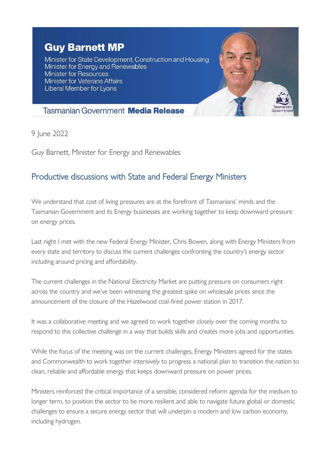## **Guy Barnett MP**

Minister for State Development, Construction and Housing Minister for Energy and Renewables **Minister for Resources Minister for Veterans Affairs** Liberal Member for Lyons



## **Tasmanian Government Media Release**

9 June 2022

Guy Barnett, Minister for Energy and Renewables

## Productive discussions with State and Federal Energy Ministers

We understand that cost of living pressures are at the forefront of Tasmanians' minds and the Tasmanian Government and its Energy businesses are working together to keep downward pressure on energy prices.

Last night I met with the new Federal Energy Minister, Chris Bowen, along with Energy Ministers from every state and territory to discuss the current challenges confronting the country's energy sector including around pricing and affordability.

The current challenges in the National Electricity Market are putting pressure on consumers right across the country and we've been witnessing the greatest spike on wholesale prices since the announcement of the closure of the Hazelwood coal-fired power station in 2017.

It was a collaborative meeting and we agreed to work together closely over the coming months to respond to this collective challenge in a way that builds skills and creates more jobs and opportunities.

While the focus of the meeting was on the current challenges, Energy Ministers agreed for the states and Commonwealth to work together intensively to progress a national plan to transition the nation to clean, reliable and affordable energy that keeps downward pressure on power prices.

Ministers reinforced the critical importance of a sensible, considered reform agenda for the medium to longer term, to position the sector to be more resilient and able to navigate future global or domestic challenges to ensure a secure energy sector that will underpin a modern and low carbon economy, including hydrogen.